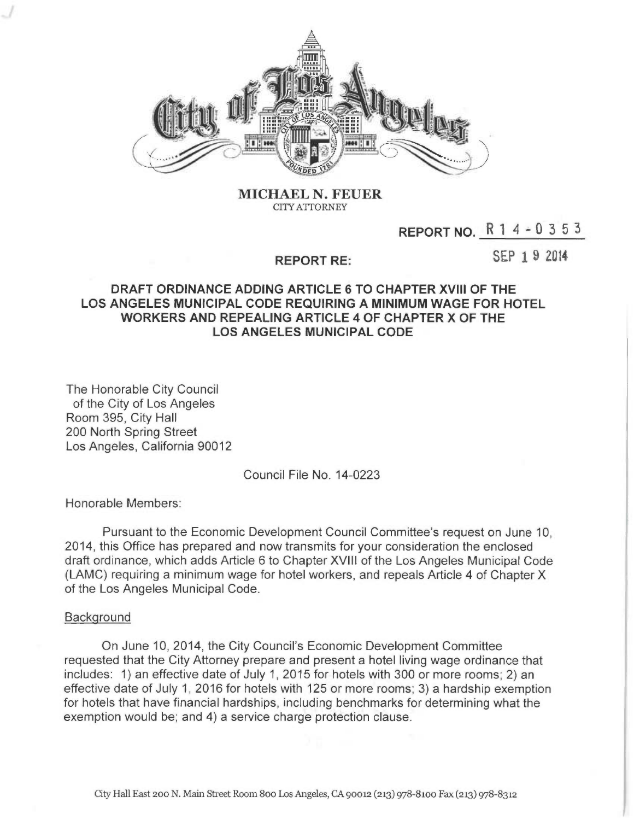

MICHAEL N. FEUER CITY ATTORNEY

# REPORT NO.  $R$  1 4 - 0 3 5 3

## REPORT RE:

SEP 1 9 2014

# DRAFT ORDINANCE ADDING ARTICLE 6 TO CHAPTER XVIII OF THE LOS ANGELES MUNICIPAL CODE REQUIRING A MINIMUM WAGE FOR HOTEL WORKERS AND REPEALING ARTICLE 4 OF CHAPTER X OF THE LOS ANGELES MUNICIPAL CODE

The Honorable City Council of the City of Los Angeles Room 395, City Hall 200 North Spring Street Los Angeles, California 90012

Council File No. 14-0223

Honorable Members:

Pursuant to the Economic Development Council Committee's request on June 10, 2014, this Office has prepared and now transmits for your consideration the enclosed draft ordinance, which adds Article 6 to Chapter XVIII of the Los Angeles Municipal Code (LAMC) requiring a minimum wage for hotel workers, and repeals Article 4 of Chapter X of the Los Angeles Municipal Code.

#### **Background**

On June 10, 2014, the City Council's Economic Development Committee requested that the City Attorney prepare and present a hotel living wage ordinance that includes: 1) an effective date of July 1, 2015 for hotels with 300 or more rooms; 2) an effective date of July 1, 2016 for hotels with 125 or more rooms; 3) a hardship exemption for hotels that have financial hardships, including benchmarks for determining what the exemption would be; and 4) a service charge protection clause.